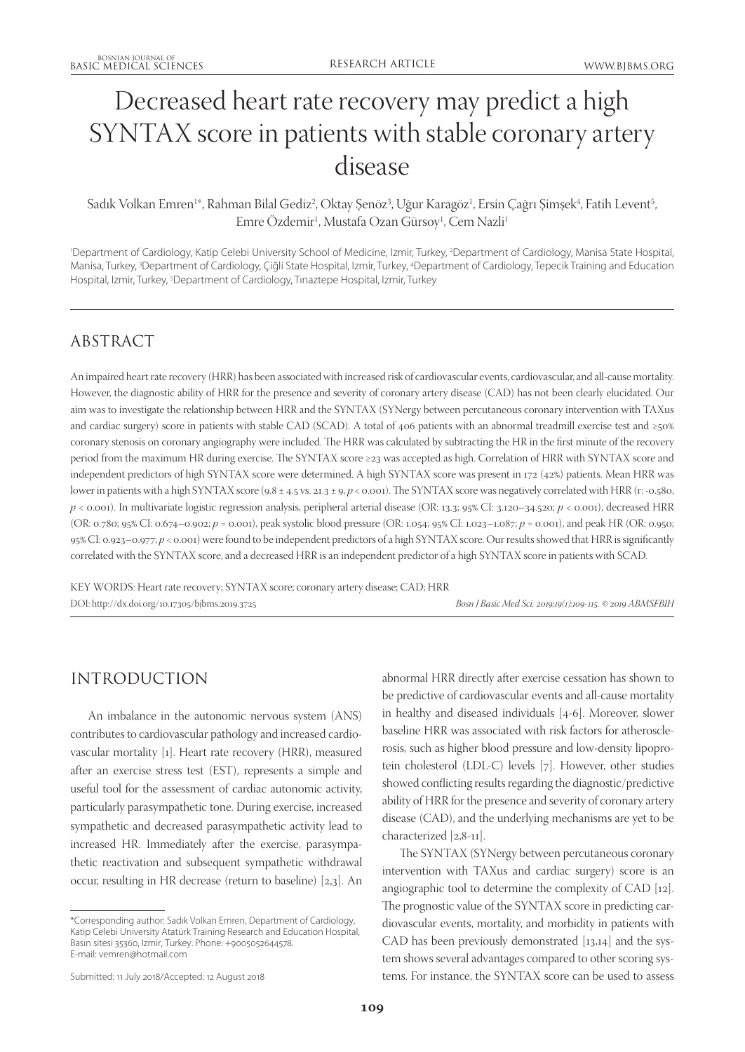# Decreased heart rate recovery may predict a high SYNTAX score in patients with stable coronary artery disease

#### Sadık Volkan Emren<sup>1</sup>\*, Rahman Bilal Gediz<sup>2</sup>, Oktay Şenöz<sup>3</sup>, Uğur Karagöz<sup>1</sup>, Ersin Çağrı Şimşek<sup>4</sup>, Fatih Levent<sup>5</sup> , Emre Ozdemir<sup>1</sup>, Mustafa Ozan Gürsoy<sup>1</sup>, Cem Nazli<sup>1</sup>

'Department of Cardiology, Katip Celebi University School of Medicine, Izmir, Turkey, <sup>2</sup>Department of Cardiology, Manisa State Hospital, Manisa, Turkey, <sup>3</sup>Department of Cardiology, Çiğli State Hospital, Izmir, Turkey, <sup>4</sup>Department of Cardiology, Tepecik Training and Education Hospital, Izmir, Turkey, <sup>5</sup>Department of Cardiology, Tinaztepe Hospital, Izmir, Turkey

### ABSTRACT

An impaired heart rate recovery (HRR) has been associated with increased risk of cardiovascular events, cardiovascular, and all-cause mortality. However, the diagnostic ability of HRR for the presence and severity of coronary artery disease (CAD) has not been clearly elucidated. Our aim was to investigate the relationship between HRR and the SYNTAX (SYNergy between percutaneous coronary intervention with TAXus and cardiac surgery) score in patients with stable CAD (SCAD). A total of 406 patients with an abnormal treadmill exercise test and ≥50% coronary stenosis on coronary angiography were included. The HRR was calculated by subtracting the HR in the first minute of the recovery period from the maximum HR during exercise. The SYNTAX score ≥23 was accepted as high. Correlation of HRR with SYNTAX score and independent predictors of high SYNTAX score were determined. A high SYNTAX score was present in 172 (42%) patients. Mean HRR was lower in patients with a high SYNTAX score (9.8 ± 4.5 vs. 21.3 ± 9,  $p < 0.001$ ). The SYNTAX score was negatively correlated with HRR (r: -0.580, *p* < 0.001). In multivariate logistic regression analysis, peripheral arterial disease (OR: 13.3; 95% CI: 3.120–34.520; *p* < 0.001), decreased HRR (OR: 0.780; 95% CI: 0.674–0.902; *p* = 0.001), peak systolic blood pressure (OR: 1.054; 95% CI: 1.023–1.087; *p* = 0.001), and peak HR (OR: 0.950; 95% CI: 0.923–0.977; *p* < 0.001) were found to be independent predictors of a high SYNTAX score. Our results showed that HRR is significantly correlated with the SYNTAX score, and a decreased HRR is an independent predictor of a high SYNTAX score in patients with SCAD.

KEY WORDS: Heart rate recovery; SYNTAX score; coronary artery disease; CAD; HRR DOI: http://dx.doi.org/10.17305/bjbms.2019.3725 *Bosn J Basic Med Sci. 2019;19(1):109-115. © 2019 ABMSFBIH*

# INTRODUCTION

An imbalance in the autonomic nervous system (ANS) contributes to cardiovascular pathology and increased cardiovascular mortality [1]. Heart rate recovery (HRR), measured after an exercise stress test (EST), represents a simple and useful tool for the assessment of cardiac autonomic activity, particularly parasympathetic tone. During exercise, increased sympathetic and decreased parasympathetic activity lead to increased HR. Immediately after the exercise, parasympathetic reactivation and subsequent sympathetic withdrawal occur, resulting in HR decrease (return to baseline) [2,3]. An abnormal HRR directly after exercise cessation has shown to be predictive of cardiovascular events and all-cause mortality in healthy and diseased individuals [4-6]. Moreover, slower baseline HRR was associated with risk factors for atherosclerosis, such as higher blood pressure and low-density lipoprotein cholesterol (LDL-C) levels [7]. However, other studies showed conflicting results regarding the diagnostic/predictive ability of HRR for the presence and severity of coronary artery disease (CAD), and the underlying mechanisms are yet to be characterized [2,8-11].

The SYNTAX (SYNergy between percutaneous coronary intervention with TAXus and cardiac surgery) score is an angiographic tool to determine the complexity of CAD [12]. The prognostic value of the SYNTAX score in predicting cardiovascular events, mortality, and morbidity in patients with CAD has been previously demonstrated [13,14] and the system shows several advantages compared to other scoring systems. For instance, the SYNTAX score can be used to assess

<sup>\*</sup>Corresponding author: Sadık Volkan Emren, Department of Cardiology, Katip Celebi University Atatürk Training Research and Education Hospital, Basın sitesi 35360, Izmir, Turkey. Phone: +9005052644578. E-mail: vemren@hotmail.com

Submitted: 11 July 2018/Accepted: 12 August 2018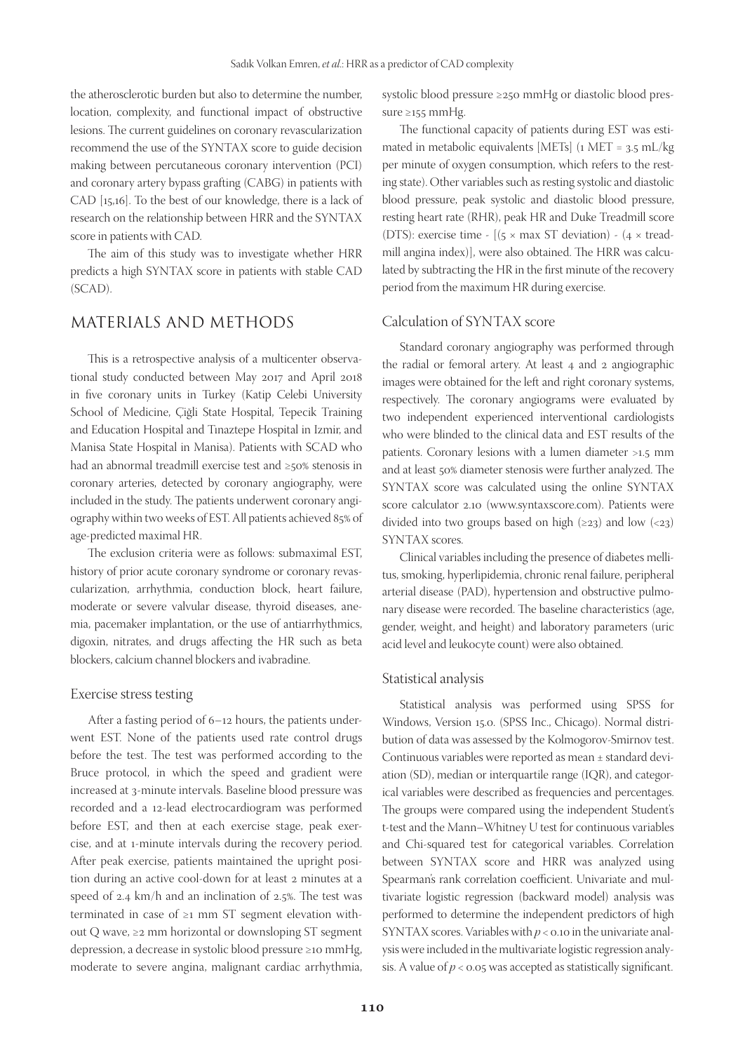the atherosclerotic burden but also to determine the number, location, complexity, and functional impact of obstructive lesions. The current guidelines on coronary revascularization recommend the use of the SYNTAX score to guide decision making between percutaneous coronary intervention (PCI) and coronary artery bypass grafting (CABG) in patients with CAD [15,16]. To the best of our knowledge, there is a lack of research on the relationship between HRR and the SYNTAX score in patients with CAD.

The aim of this study was to investigate whether HRR predicts a high SYNTAX score in patients with stable CAD (SCAD).

### MATERIALS AND METHODS

This is a retrospective analysis of a multicenter observational study conducted between May 2017 and April 2018 in five coronary units in Turkey (Katip Celebi University School of Medicine, Çiğli State Hospital, Tepecik Training and Education Hospital and Tınaztepe Hospital in Izmir, and Manisa State Hospital in Manisa). Patients with SCAD who had an abnormal treadmill exercise test and ≥50% stenosis in coronary arteries, detected by coronary angiography, were included in the study. The patients underwent coronary angiography within two weeks of EST. All patients achieved 85% of age-predicted maximal HR.

The exclusion criteria were as follows: submaximal EST, history of prior acute coronary syndrome or coronary revascularization, arrhythmia, conduction block, heart failure, moderate or severe valvular disease, thyroid diseases, anemia, pacemaker implantation, or the use of antiarrhythmics, digoxin, nitrates, and drugs affecting the HR such as beta blockers, calcium channel blockers and ivabradine.

#### Exercise stress testing

After a fasting period of 6–12 hours, the patients underwent EST. None of the patients used rate control drugs before the test. The test was performed according to the Bruce protocol, in which the speed and gradient were increased at 3-minute intervals. Baseline blood pressure was recorded and a 12-lead electrocardiogram was performed before EST, and then at each exercise stage, peak exercise, and at 1-minute intervals during the recovery period. After peak exercise, patients maintained the upright position during an active cool-down for at least 2 minutes at a speed of 2.4 km/h and an inclination of 2.5%. The test was terminated in case of ≥1 mm ST segment elevation without Q wave, ≥2 mm horizontal or downsloping ST segment depression, a decrease in systolic blood pressure ≥10 mmHg, moderate to severe angina, malignant cardiac arrhythmia,

systolic blood pressure ≥250 mmHg or diastolic blood pressure ≥155 mmHg.

The functional capacity of patients during EST was estimated in metabolic equivalents [METs]  $(1 \text{ MET} = 3.5 \text{ mL/kg})$ per minute of oxygen consumption, which refers to the resting state). Other variables such as resting systolic and diastolic blood pressure, peak systolic and diastolic blood pressure, resting heart rate (RHR), peak HR and Duke Treadmill score (DTS): exercise time -  $[(5 \times \text{max ST deviation}) - (4 \times \text{tread}$ mill angina index)], were also obtained. The HRR was calculated by subtracting the HR in the first minute of the recovery period from the maximum HR during exercise.

### Calculation of SYNTAX score

Standard coronary angiography was performed through the radial or femoral artery. At least 4 and 2 angiographic images were obtained for the left and right coronary systems, respectively. The coronary angiograms were evaluated by two independent experienced interventional cardiologists who were blinded to the clinical data and EST results of the patients. Coronary lesions with a lumen diameter >1.5 mm and at least 50% diameter stenosis were further analyzed. The SYNTAX score was calculated using the online SYNTAX score calculator 2.10 (www.syntaxscore.com). Patients were divided into two groups based on high  $(\geq 23)$  and low  $(\leq 23)$ SYNTAX scores.

Clinical variables including the presence of diabetes mellitus, smoking, hyperlipidemia, chronic renal failure, peripheral arterial disease (PAD), hypertension and obstructive pulmonary disease were recorded. The baseline characteristics (age, gender, weight, and height) and laboratory parameters (uric acid level and leukocyte count) were also obtained.

#### Statistical analysis

Statistical analysis was performed using SPSS for Windows, Version 15.0. (SPSS Inc., Chicago). Normal distribution of data was assessed by the Kolmogorov-Smirnov test. Continuous variables were reported as mean ± standard deviation (SD), median or interquartile range (IQR), and categorical variables were described as frequencies and percentages. The groups were compared using the independent Student's t-test and the Mann–Whitney U test for continuous variables and Chi-squared test for categorical variables. Correlation between SYNTAX score and HRR was analyzed using Spearman's rank correlation coefficient. Univariate and multivariate logistic regression (backward model) analysis was performed to determine the independent predictors of high SYNTAX scores. Variables with  $p < 0.10$  in the univariate analysis were included in the multivariate logistic regression analysis. A value of  $p < 0.05$  was accepted as statistically significant.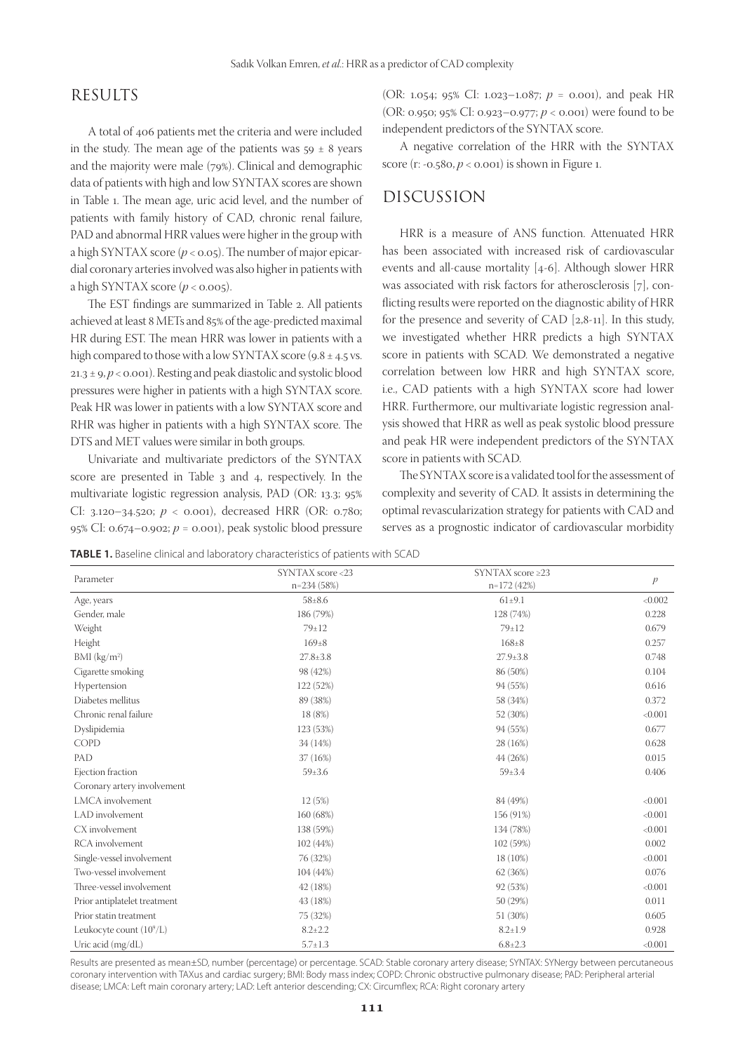### RESULTS

A total of 406 patients met the criteria and were included in the study. The mean age of the patients was  $59 \pm 8$  years and the majority were male (79%). Clinical and demographic data of patients with high and low SYNTAX scores are shown in Table 1. The mean age, uric acid level, and the number of patients with family history of CAD, chronic renal failure, PAD and abnormal HRR values were higher in the group with a high SYNTAX score  $(p < 0.05)$ . The number of major epicardial coronary arteries involved was also higher in patients with a high SYNTAX score  $(p < 0.005)$ .

The EST findings are summarized in Table 2. All patients achieved at least 8 METs and 85% of the age-predicted maximal HR during EST. The mean HRR was lower in patients with a high compared to those with a low SYNTAX score (9.8  $\pm$  4.5 vs. 21.3 ± 9, *p* < 0.001). Resting and peak diastolic and systolic blood pressures were higher in patients with a high SYNTAX score. Peak HR was lower in patients with a low SYNTAX score and RHR was higher in patients with a high SYNTAX score. The DTS and MET values were similar in both groups.

Univariate and multivariate predictors of the SYNTAX score are presented in Table 3 and 4, respectively. In the multivariate logistic regression analysis, PAD (OR: 13.3; 95% CI: 3.120–34.520; *p* < 0.001), decreased HRR (OR: 0.780; 95% CI: 0.674–0.902; *p* = 0.001), peak systolic blood pressure

(OR: 1.054; 95% CI: 1.023–1.087; *p* = 0.001), and peak HR (OR: 0.950; 95% CI: 0.923–0.977; *p* < 0.001) were found to be independent predictors of the SYNTAX score.

A negative correlation of the HRR with the SYNTAX score (r:  $-0.58$ o,  $p < 0.001$ ) is shown in Figure 1.

### DISCUSSION

HRR is a measure of ANS function. Attenuated HRR has been associated with increased risk of cardiovascular events and all-cause mortality [4-6]. Although slower HRR was associated with risk factors for atherosclerosis [7], conflicting results were reported on the diagnostic ability of HRR for the presence and severity of CAD [2,8-11]. In this study, we investigated whether HRR predicts a high SYNTAX score in patients with SCAD. We demonstrated a negative correlation between low HRR and high SYNTAX score, i.e., CAD patients with a high SYNTAX score had lower HRR. Furthermore, our multivariate logistic regression analysis showed that HRR as well as peak systolic blood pressure and peak HR were independent predictors of the SYNTAX score in patients with SCAD.

The SYNTAX score is a validated tool for the assessment of complexity and severity of CAD. It assists in determining the optimal revascularization strategy for patients with CAD and serves as a prognostic indicator of cardiovascular morbidity

**TABLE 1.** Baseline clinical and laboratory characteristics of patients with SCAD

| Parameter                    | SYNTAX score <23<br>$n=234(58%)$ | SYNTAX score $\geq$ 23<br>$n=172(42%)$ | p       |
|------------------------------|----------------------------------|----------------------------------------|---------|
| Age, years                   | $58 \pm 8.6$                     | $61 \pm 9.1$                           | < 0.002 |
| Gender, male                 | 186 (79%)                        | 128 (74%)                              | 0.228   |
| Weight                       | $79 \pm 12$                      | $79 \pm 12$                            | 0.679   |
| Height                       | $169 \pm 8$                      | $168 \pm 8$                            | 0.257   |
| BMI $(kg/m2)$                | $27.8 \pm 3.8$                   | $27.9 \pm 3.8$                         | 0.748   |
| Cigarette smoking            | 98 (42%)                         | 86 (50%)                               | 0.104   |
| Hypertension                 | 122 (52%)                        | 94 (55%)                               | 0.616   |
| Diabetes mellitus            | 89 (38%)                         | 58 (34%)                               | 0.372   |
| Chronic renal failure        | 18 (8%)                          | 52 (30%)                               | < 0.001 |
| Dyslipidemia                 | 123 (53%)                        | 94 (55%)                               | 0.677   |
| <b>COPD</b>                  | 34 (14%)                         | 28 (16%)                               | 0.628   |
| PAD                          | 37 (16%)                         | 44 (26%)                               | 0.015   |
| Ejection fraction            | $59 \pm 3.6$                     | $59 \pm 3.4$                           | 0.406   |
| Coronary artery involvement  |                                  |                                        |         |
| LMCA involvement             | 12(5%)                           | 84 (49%)                               | < 0.001 |
| LAD involvement              | 160 (68%)                        | 156 (91%)                              | < 0.001 |
| CX involvement               | 138 (59%)                        | 134 (78%)                              | < 0.001 |
| RCA involvement              | 102 (44%)                        | 102 (59%)                              | 0.002   |
| Single-vessel involvement    | 76 (32%)                         | 18 (10%)                               | < 0.001 |
| Two-vessel involvement       | 104 (44%)                        | 62 (36%)                               | 0.076   |
| Three-vessel involvement     | 42 (18%)                         | 92 (53%)                               | < 0.001 |
| Prior antiplatelet treatment | 43 (18%)                         | 50 (29%)                               | 0.011   |
| Prior statin treatment       | 75 (32%)                         | 51 (30%)                               | 0.605   |
| Leukocyte count $(10^9/L)$   | $8.2 \pm 2.2$                    | $8.2 \pm 1.9$                          | 0.928   |
| Uric acid (mg/dL)            | $5.7 \pm 1.3$                    | $6.8 \pm 2.3$                          | < 0.001 |

Results are presented as mean±SD, number (percentage) or percentage. SCAD: Stable coronary artery disease; SYNTAX: SYNergy between percutaneous coronary intervention with TAXus and cardiac surgery; BMI: Body mass index; COPD: Chronic obstructive pulmonary disease; PAD: Peripheral arterial disease; LMCA: Left main coronary artery; LAD: Left anterior descending; CX: Circumflex; RCA: Right coronary artery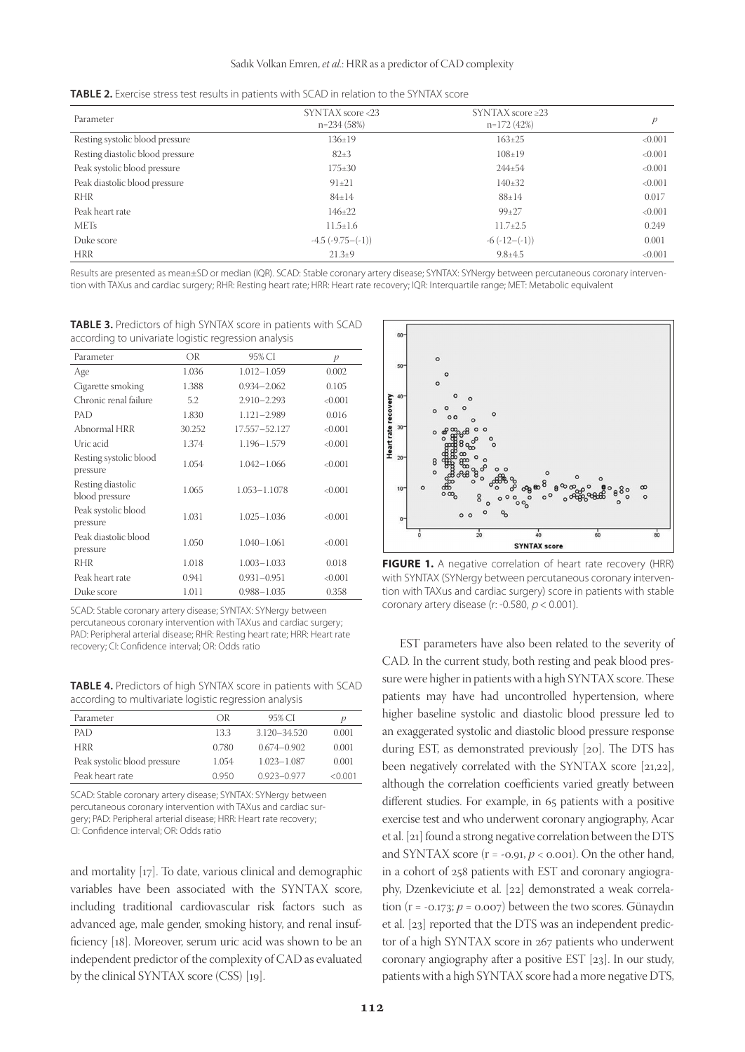| <b>TABLE 2.</b> Exercise stress test results in patients with SCAD in relation to the SYNTAX score |  |  |  |
|----------------------------------------------------------------------------------------------------|--|--|--|
|----------------------------------------------------------------------------------------------------|--|--|--|

| Parameter                        | SYNTAX score <23<br>$n=234(58%)$ | $SYNTAX score \geq 23$<br>$n=172(42%)$ | р       |
|----------------------------------|----------------------------------|----------------------------------------|---------|
| Resting systolic blood pressure  | $136 \pm 19$                     | $163 \pm 25$                           | < 0.001 |
| Resting diastolic blood pressure | $82+3$                           | $108 \pm 19$                           | < 0.001 |
| Peak systolic blood pressure     | $175 \pm 30$                     | $244 \pm 54$                           | < 0.001 |
| Peak diastolic blood pressure    | $91 \pm 21$                      | $140\pm32$                             | < 0.001 |
| RHR                              | $84 \pm 14$                      | $88 \pm 14$                            | 0.017   |
| Peak heart rate                  | $146 \pm 22$                     | $99+27$                                | < 0.001 |
| <b>METs</b>                      | $11.5 \pm 1.6$                   | $11.7 \pm 2.5$                         | 0.249   |
| Duke score                       | $-4.5$ $(-9.75 - (-1))$          | $-6$ $(-12-(-1))$                      | 0.001   |
| <b>HRR</b>                       | $21.3+9$                         | $9.8 \pm 4.5$                          | < 0.001 |

Results are presented as mean±SD or median (IQR). SCAD: Stable coronary artery disease; SYNTAX: SYNergy between percutaneous coronary intervention with TAXus and cardiac surgery; RHR: Resting heart rate; HRR: Heart rate recovery; IQR: Interquartile range; MET: Metabolic equivalent

**TABLE 3.** Predictors of high SYNTAX score in patients with SCAD according to univariate logistic regression analysis

| Parameter                           | OR     | 95% CI          |         |
|-------------------------------------|--------|-----------------|---------|
|                                     |        |                 | p       |
| Age                                 | 1.036  | $1.012 - 1.059$ | 0.002   |
| Cigarette smoking                   | 1.388  | $0.934 - 2.062$ | 0.105   |
| Chronic renal failure               | 5.2    | $2.910 - 2.293$ | < 0.001 |
| PAD                                 | 1.830  | $1.121 - 2.989$ | 0.016   |
| Abnormal HRR                        | 30.252 | 17.557-52.127   | < 0.001 |
| Uric acid                           | 1.374  | 1.196-1.579     | < 0.001 |
| Resting systolic blood<br>pressure  | 1.054  | $1.042 - 1.066$ | < 0.001 |
| Resting diastolic<br>blood pressure | 1.065  | 1.053-1.1078    | < 0.001 |
| Peak systolic blood<br>pressure     | 1.031  | $1.025 - 1.036$ | < 0.001 |
| Peak diastolic blood<br>pressure    | 1.050  | $1.040 - 1.061$ | < 0.001 |
| RHR                                 | 1.018  | $1.003 - 1.033$ | 0.018   |
| Peak heart rate                     | 0.941  | $0.931 - 0.951$ | < 0.001 |
| Duke score                          | 1.011  | $0.988 - 1.035$ | 0.358   |

SCAD: Stable coronary artery disease; SYNTAX: SYNergy between percutaneous coronary intervention with TAXus and cardiac surgery; PAD: Peripheral arterial disease; RHR: Resting heart rate; HRR: Heart rate recovery; CI: Confidence interval; OR: Odds ratio

**TABLE 4.** Predictors of high SYNTAX score in patients with SCAD according to multivariate logistic regression analysis

| Parameter                    | OR    | 95% CI          | р      |
|------------------------------|-------|-----------------|--------|
| PAD                          | 13.3  | 3.120-34.520    | 0.001  |
| hrr                          | 0.780 | $0.674 - 0.902$ | 0.001  |
| Peak systolic blood pressure | 1.054 | 1.023-1.087     | 0.001  |
| Peak heart rate              | N 950 | $0.923 - 0.977$ | <0.001 |

SCAD: Stable coronary artery disease; SYNTAX: SYNergy between percutaneous coronary intervention with TAXus and cardiac surgery; PAD: Peripheral arterial disease; HRR: Heart rate recovery; CI: Confidence interval; OR: Odds ratio

and mortality [17]. To date, various clinical and demographic variables have been associated with the SYNTAX score, including traditional cardiovascular risk factors such as advanced age, male gender, smoking history, and renal insufficiency [18]. Moreover, serum uric acid was shown to be an independent predictor of the complexity of CAD as evaluated by the clinical SYNTAX score (CSS) [19].



**FIGURE 1.** A negative correlation of heart rate recovery (HRR) with SYNTAX (SYNergy between percutaneous coronary intervention with TAXus and cardiac surgery) score in patients with stable coronary artery disease (r: -0.580,  $p < 0.001$ ).

EST parameters have also been related to the severity of CAD. In the current study, both resting and peak blood pressure were higher in patients with a high SYNTAX score. These patients may have had uncontrolled hypertension, where higher baseline systolic and diastolic blood pressure led to an exaggerated systolic and diastolic blood pressure response during EST, as demonstrated previously [20]. The DTS has been negatively correlated with the SYNTAX score [21,22], although the correlation coefficients varied greatly between different studies. For example, in 65 patients with a positive exercise test and who underwent coronary angiography, Acar et al. [21] found a strong negative correlation between the DTS and SYNTAX score  $(r = -0.91, p < 0.001)$ . On the other hand, in a cohort of 258 patients with EST and coronary angiography, Dzenkeviciute et al. [22] demonstrated a weak correlation ( $r = -0.173$ ;  $p = 0.007$ ) between the two scores. Günaydın et al. [23] reported that the DTS was an independent predictor of a high SYNTAX score in 267 patients who underwent coronary angiography after a positive EST [23]. In our study, patients with a high SYNTAX score had a more negative DTS,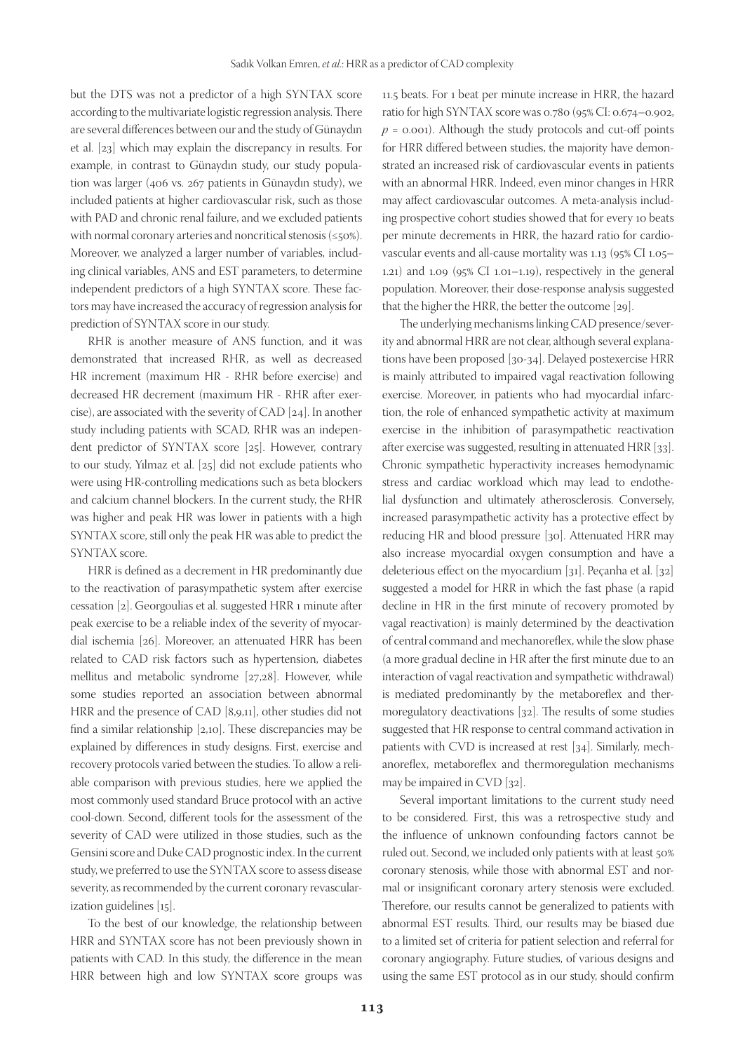but the DTS was not a predictor of a high SYNTAX score according to the multivariate logistic regression analysis. There are several differences between our and the study of Günaydın et al. [23] which may explain the discrepancy in results. For example, in contrast to Günaydın study, our study population was larger (406 vs. 267 patients in Günaydın study), we included patients at higher cardiovascular risk, such as those with PAD and chronic renal failure, and we excluded patients with normal coronary arteries and noncritical stenosis (≤50%). Moreover, we analyzed a larger number of variables, including clinical variables, ANS and EST parameters, to determine independent predictors of a high SYNTAX score. These factors may have increased the accuracy of regression analysis for prediction of SYNTAX score in our study.

RHR is another measure of ANS function, and it was demonstrated that increased RHR, as well as decreased HR increment (maximum HR - RHR before exercise) and decreased HR decrement (maximum HR - RHR after exercise), are associated with the severity of CAD [24]. In another study including patients with SCAD, RHR was an independent predictor of SYNTAX score [25]. However, contrary to our study, Yılmaz et al. [25] did not exclude patients who were using HR-controlling medications such as beta blockers and calcium channel blockers. In the current study, the RHR was higher and peak HR was lower in patients with a high SYNTAX score, still only the peak HR was able to predict the SYNTAX score.

HRR is defined as a decrement in HR predominantly due to the reactivation of parasympathetic system after exercise cessation [2]. Georgoulias et al. suggested HRR 1 minute after peak exercise to be a reliable index of the severity of myocardial ischemia [26]. Moreover, an attenuated HRR has been related to CAD risk factors such as hypertension, diabetes mellitus and metabolic syndrome [27,28]. However, while some studies reported an association between abnormal HRR and the presence of CAD [8,9,11], other studies did not find a similar relationship [2,10]. These discrepancies may be explained by differences in study designs. First, exercise and recovery protocols varied between the studies. To allow a reliable comparison with previous studies, here we applied the most commonly used standard Bruce protocol with an active cool-down. Second, different tools for the assessment of the severity of CAD were utilized in those studies, such as the Gensini score and Duke CAD prognostic index. In the current study, we preferred to use the SYNTAX score to assess disease severity, as recommended by the current coronary revascularization guidelines [15].

To the best of our knowledge, the relationship between HRR and SYNTAX score has not been previously shown in patients with CAD. In this study, the difference in the mean HRR between high and low SYNTAX score groups was 11.5 beats. For 1 beat per minute increase in HRR, the hazard ratio for high SYNTAX score was 0.780 (95% CI: 0.674–0.902,  $p = 0.001$ ). Although the study protocols and cut-off points for HRR differed between studies, the majority have demonstrated an increased risk of cardiovascular events in patients with an abnormal HRR. Indeed, even minor changes in HRR may affect cardiovascular outcomes. A meta-analysis including prospective cohort studies showed that for every 10 beats per minute decrements in HRR, the hazard ratio for cardiovascular events and all-cause mortality was 1.13 (95% CI 1.05– 1.21) and 1.09 (95% CI 1.01–1.19), respectively in the general population. Moreover, their dose-response analysis suggested that the higher the HRR, the better the outcome [29].

The underlying mechanisms linking CAD presence/severity and abnormal HRR are not clear, although several explanations have been proposed [30-34]. Delayed postexercise HRR is mainly attributed to impaired vagal reactivation following exercise. Moreover, in patients who had myocardial infarction, the role of enhanced sympathetic activity at maximum exercise in the inhibition of parasympathetic reactivation after exercise was suggested, resulting in attenuated HRR [33]. Chronic sympathetic hyperactivity increases hemodynamic stress and cardiac workload which may lead to endothelial dysfunction and ultimately atherosclerosis. Conversely, increased parasympathetic activity has a protective effect by reducing HR and blood pressure [30]. Attenuated HRR may also increase myocardial oxygen consumption and have a deleterious effect on the myocardium [31]. Peçanha et al. [32] suggested a model for HRR in which the fast phase (a rapid decline in HR in the first minute of recovery promoted by vagal reactivation) is mainly determined by the deactivation of central command and mechanoreflex, while the slow phase (a more gradual decline in HR after the first minute due to an interaction of vagal reactivation and sympathetic withdrawal) is mediated predominantly by the metaboreflex and thermoregulatory deactivations [32]. The results of some studies suggested that HR response to central command activation in patients with CVD is increased at rest [34]. Similarly, mechanoreflex, metaboreflex and thermoregulation mechanisms may be impaired in CVD [32].

Several important limitations to the current study need to be considered. First, this was a retrospective study and the influence of unknown confounding factors cannot be ruled out. Second, we included only patients with at least 50% coronary stenosis, while those with abnormal EST and normal or insignificant coronary artery stenosis were excluded. Therefore, our results cannot be generalized to patients with abnormal EST results. Third, our results may be biased due to a limited set of criteria for patient selection and referral for coronary angiography. Future studies, of various designs and using the same EST protocol as in our study, should confirm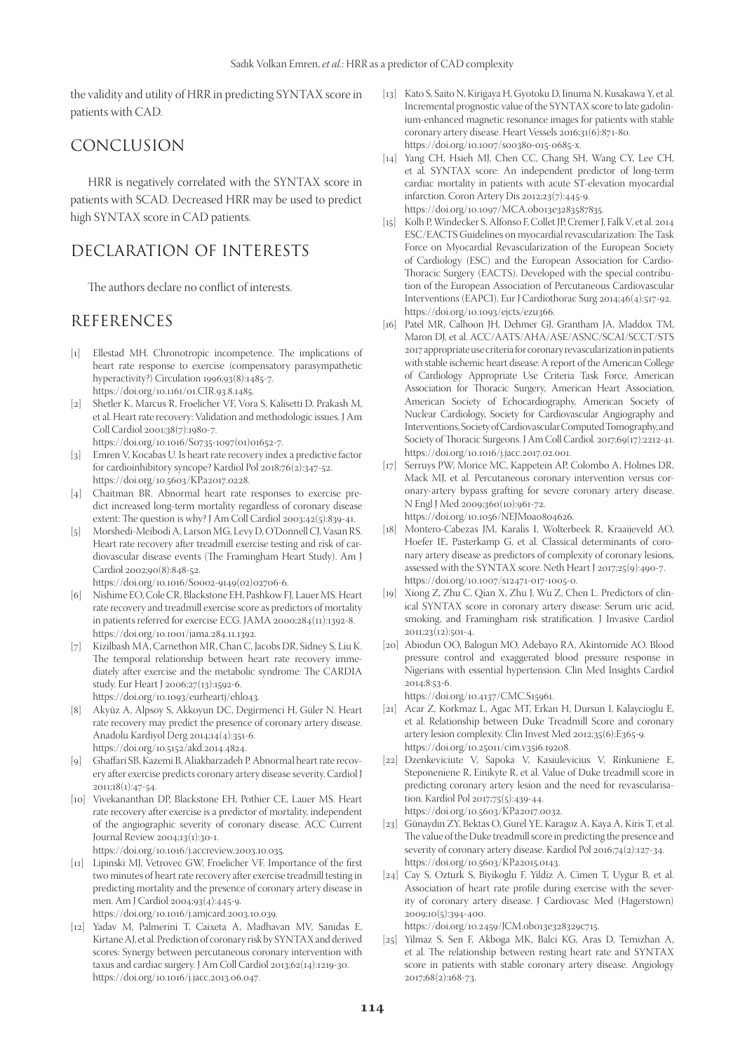the validity and utility of HRR in predicting SYNTAX score in patients with CAD.

# CONCLUSION

HRR is negatively correlated with the SYNTAX score in patients with SCAD. Decreased HRR may be used to predict high SYNTAX score in CAD patients.

# DECLARATION OF INTERESTS

The authors declare no conflict of interests.

# REFERENCES

- [1] Ellestad MH. Chronotropic incompetence. The implications of heart rate response to exercise (compensatory parasympathetic hyperactivity?) Circulation 1996;93(8):1485-7. https://doi.org/10.1161/01.CIR.93.8.1485.
- [2] Shetler K, Marcus R, Froelicher VF, Vora S, Kalisetti D, Prakash M, et al. Heart rate recovery: Validation and methodologic issues. J Am Coll Cardiol 2001;38(7):1980-7.
	- https://doi.org/10.1016/S0735-1097(01)01652-7.
- [3] Emren V, Kocabas U. Is heart rate recovery index a predictive factor for cardioinhibitory syncope? Kardiol Pol 2018;76(2):347-52. https://doi.org/10.5603/KP.a2017.0228.
- [4] Chaitman BR. Abnormal heart rate responses to exercise predict increased long-term mortality regardless of coronary disease extent: The question is why? J Am Coll Cardiol 2003;42(5):839-41.
- [5] Morshedi-Meibodi A, Larson MG, Levy D, O'Donnell CJ, Vasan RS. Heart rate recovery after treadmill exercise testing and risk of cardiovascular disease events (The Framingham Heart Study). Am J Cardiol 2002;90(8):848-52.
	- https://doi.org/10.1016/S0002-9149(02)02706-6.
- [6] Nishime EO, Cole CR, Blackstone EH, Pashkow FJ, Lauer MS. Heart rate recovery and treadmill exercise score as predictors of mortality in patients referred for exercise ECG. JAMA 2000;284(11):1392-8. https://doi.org/10.1001/jama.284.11.1392.
- [7] Kizilbash MA, Carnethon MR, Chan C, Jacobs DR, Sidney S, Liu K. The temporal relationship between heart rate recovery immediately after exercise and the metabolic syndrome: The CARDIA study. Eur Heart J 2006;27(13):1592-6. https://doi.org/10.1093/eurheartj/ehl043.
- [8] Akyüz A, Alpsoy S, Akkoyun DC, Degirmenci H, Güler N. Heart rate recovery may predict the presence of coronary artery disease. Anadolu Kardiyol Derg 2014;14(4):351-6. https://doi.org/10.5152/akd.2014.4824.
- [9] Ghaffari SB, Kazemi B, Aliakbarzadeh P. Abnormal heart rate recovery after exercise predicts coronary artery disease severity. Cardiol J 2011;18(1):47-54.
- [10] Vivekananthan DP, Blackstone EH, Pothier CE, Lauer MS. Heart rate recovery after exercise is a predictor of mortality, independent of the angiographic severity of coronary disease. ACC Current Journal Review 2004;13(1):30-1. https://doi.org/10.1016/j.accreview.2003.10.035.
	-
- [11] Lipinski MJ, Vetrovec GW, Froelicher VF. Importance of the first two minutes of heart rate recovery after exercise treadmill testing in predicting mortality and the presence of coronary artery disease in men. Am J Cardiol 2004;93(4):445-9. https://doi.org/10.1016/j.amjcard.2003.10.039.
- [12] Yadav M, Palmerini T, Caixeta A, Madhavan MV, Sanidas E, Kirtane AJ, et al. Prediction of coronary risk by SYNTAX and derived scores: Synergy between percutaneous coronary intervention with taxus and cardiac surgery. J Am Coll Cardiol 2013;62(14):1219-30. https://doi.org/10.1016/j.jacc.2013.06.047.
- [13] Kato S, Saito N, Kirigaya H, Gyotoku D, Iinuma N, Kusakawa Y, et al. Incremental prognostic value of the SYNTAX score to late gadolinium-enhanced magnetic resonance images for patients with stable coronary artery disease. Heart Vessels 2016;31(6):871-80. https://doi.org/10.1007/s00380-015-0685-x.
- [14] Yang CH, Hsieh MJ, Chen CC, Chang SH, Wang CY, Lee CH, et al. SYNTAX score: An independent predictor of long-term cardiac mortality in patients with acute ST-elevation myocardial infarction. Coron Artery Dis 2012;23(7):445-9. https://doi.org/10.1097/MCA.0b013e3283587835.
- [15] Kolh P, Windecker S, Alfonso F, Collet JP, Cremer J, Falk V, et al. 2014 ESC/EACTS Guidelines on myocardial revascularization: The Task Force on Myocardial Revascularization of the European Society of Cardiology (ESC) and the European Association for Cardio-Thoracic Surgery (EACTS). Developed with the special contribution of the European Association of Percutaneous Cardiovascular Interventions (EAPCI). Eur J Cardiothorac Surg 2014;46(4):517-92. https://doi.org/10.1093/ejcts/ezu366.
- [16] Patel MR, Calhoon JH, Dehmer GJ, Grantham JA, Maddox TM, Maron DJ, et al. ACC/AATS/AHA/ASE/ASNC/SCAI/SCCT/STS 2017 appropriate use criteria for coronary revascularization in patients with stable ischemic heart disease: A report of the American College of Cardiology Appropriate Use Criteria Task Force, American Association for Thoracic Surgery, American Heart Association, American Society of Echocardiography, American Society of Nuclear Cardiology, Society for Cardiovascular Angiography and Interventions, Society of Cardiovascular Computed Tomography, and Society of Thoracic Surgeons. J Am Coll Cardiol. 2017;69(17):2212-41. https://doi.org/10.1016/j.jacc.2017.02.001.
- [17] Serruys PW, Morice MC, Kappetein AP, Colombo A, Holmes DR, Mack MJ, et al. Percutaneous coronary intervention versus coronary-artery bypass grafting for severe coronary artery disease. N Engl J Med 2009;360(10):961-72. https://doi.org/10.1056/NEJMoa0804626.
- [18] Montero-Cabezas JM, Karalis I, Wolterbeek R, Kraaijeveld AO, Hoefer IE, Pasterkamp G, et al. Classical determinants of coronary artery disease as predictors of complexity of coronary lesions, assessed with the SYNTAX score. Neth Heart J 2017;25(9):490-7. https://doi.org/10.1007/s12471-017-1005-0.
- [19] Xiong Z, Zhu C, Qian X, Zhu J, Wu Z, Chen L. Predictors of clinical SYNTAX score in coronary artery disease: Serum uric acid, smoking, and Framingham risk stratification. J Invasive Cardiol 2011;23(12):501-4.
- [20] Abiodun OO, Balogun MO, Adebayo RA, Akintomide AO. Blood pressure control and exaggerated blood pressure response in Nigerians with essential hypertension. Clin Med Insights Cardiol 2014;8:53-6.
	- https://doi.org/10.4137/CMC.S15961.
- [21] Acar Z, Korkmaz L, Agac MT, Erkan H, Dursun I, Kalaycioglu E, et al. Relationship between Duke Treadmill Score and coronary artery lesion complexity. Clin Invest Med 2012;35(6):E365-9. https://doi.org/10.25011/cim.v35i6.19208.
- [22] Dzenkeviciute V, Sapoka V, Kasiulevicius V, Rinkuniene E, Steponeniene R, Einikyte R, et al. Value of Duke treadmill score in predicting coronary artery lesion and the need for revascularisation. Kardiol Pol 2017;75(5):439-44. https://doi.org/10.5603/KP.a2017.0032.
- [23] Günaydın ZY, Bektas O, Gurel YE, Karagoz A, Kaya A, Kiris T, et al. The value of the Duke treadmill score in predicting the presence and severity of coronary artery disease. Kardiol Pol 2016;74(2):127-34. https://doi.org/10.5603/KP.a2015.0143.
- [24] Cay S, Ozturk S, Biyikoglu F, Yildiz A, Cimen T, Uygur B, et al. Association of heart rate profile during exercise with the severity of coronary artery disease. J Cardiovasc Med (Hagerstown) 2009;10(5):394-400.

https://doi.org/10.2459/JCM.0b013e328329c715.

[25] Yilmaz S, Sen F, Akboga MK, Balci KG, Aras D, Temizhan A, et al. The relationship between resting heart rate and SYNTAX score in patients with stable coronary artery disease. Angiology 2017;68(2):168-73.